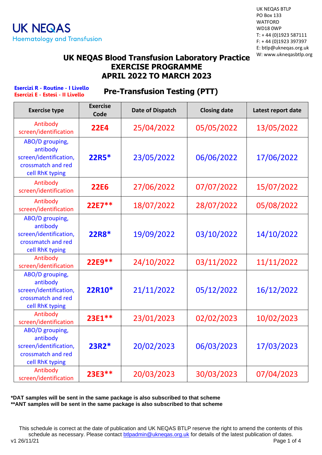UK NEQAS BTLP PO Box 133 WATFORD WD18 0WP T: + 44 (0)1923 587111 F: + 44 (0)1923 397397 E: btlp@ukneqas.org.uk W: www.ukneqasbtlp.org

#### **UK NEQAS Blood Transfusion Laboratory Practice EXERCISE PROGRAMME APRIL 2022 TO MARCH 2023**

**Esercizi R - Routine - I Livello Esercizi E - Estesi - II Livello**

#### **Pre-Transfusion Testing (PTT)**

| <b>Exercise type</b>                                                                           | <b>Exercise</b><br>Code | <b>Date of Dispatch</b> | <b>Closing date</b> | Latest report date |
|------------------------------------------------------------------------------------------------|-------------------------|-------------------------|---------------------|--------------------|
| Antibody<br>screen/identification                                                              | <b>22E4</b>             | 25/04/2022              | 05/05/2022          | 13/05/2022         |
| ABO/D grouping,<br>antibody<br>screen/identification,<br>crossmatch and red<br>cell RhK typing | 22R5*                   | 23/05/2022              | 06/06/2022          | 17/06/2022         |
| Antibody<br>screen/identification                                                              | <b>22E6</b>             | 27/06/2022              | 07/07/2022          | 15/07/2022         |
| Antibody<br>screen/identification                                                              | $22E7**$                | 18/07/2022              | 28/07/2022          | 05/08/2022         |
| ABO/D grouping,<br>antibody<br>screen/identification,<br>crossmatch and red<br>cell RhK typing | 22R8*                   | 19/09/2022              | 03/10/2022          | 14/10/2022         |
| Antibody<br>screen/identification                                                              | 22E9 **                 | 24/10/2022              | 03/11/2022          | 11/11/2022         |
| ABO/D grouping,<br>antibody<br>screen/identification,<br>crossmatch and red<br>cell RhK typing | 22R10*                  | 21/11/2022              | 05/12/2022          | 16/12/2022         |
| Antibody<br>screen/identification                                                              | 23E1**                  | 23/01/2023              | 02/02/2023          | 10/02/2023         |
| ABO/D grouping,<br>antibody<br>screen/identification,<br>crossmatch and red<br>cell RhK typing | $23R2*$                 | 20/02/2023              | 06/03/2023          | 17/03/2023         |
| Antibody<br>screen/identification                                                              | 23E3**                  | 20/03/2023              | 30/03/2023          | 07/04/2023         |

**\*DAT samples will be sent in the same package is also subscribed to that scheme \*\*ANT samples will be sent in the same package is also subscribed to that scheme**

This schedule is correct at the date of publication and UK NEQAS BTLP reserve the right to amend the contents of this schedule as necessary. Please contact **btlpadmin@ukneqas.org.uk** for details of the latest publication of dates.<br>Page 1 of 4 v1 26/11/21 Page 1 of 4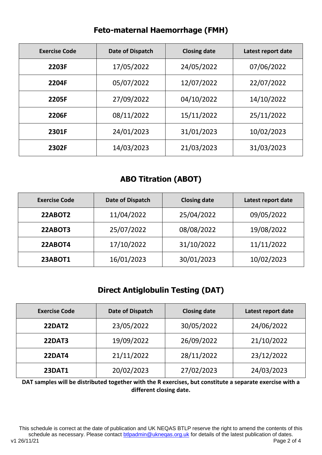| <b>Exercise Code</b> | Date of Dispatch | <b>Closing date</b> | Latest report date |
|----------------------|------------------|---------------------|--------------------|
| 2203F                | 17/05/2022       | 24/05/2022          | 07/06/2022         |
| 2204F                | 05/07/2022       | 12/07/2022          | 22/07/2022         |
| 2205F                | 27/09/2022       | 04/10/2022          | 14/10/2022         |
| 2206F                | 08/11/2022       | 15/11/2022          | 25/11/2022         |
| 2301F                | 24/01/2023       | 31/01/2023          | 10/02/2023         |
| 2302F                | 14/03/2023       | 21/03/2023          | 31/03/2023         |

# **Feto-maternal Haemorrhage (FMH)**

### **ABO Titration (ABOT)**

| <b>Exercise Code</b> | Date of Dispatch | <b>Closing date</b> | Latest report date |
|----------------------|------------------|---------------------|--------------------|
| 22ABOT2              | 11/04/2022       | 25/04/2022          | 09/05/2022         |
| 22ABOT3              | 25/07/2022       | 08/08/2022          | 19/08/2022         |
| 22ABOT4              | 17/10/2022       | 31/10/2022          | 11/11/2022         |
| <b>23ABOT1</b>       | 16/01/2023       | 30/01/2023          | 10/02/2023         |

# **Direct Antiglobulin Testing (DAT)**

| <b>Exercise Code</b> | Date of Dispatch | <b>Closing date</b> | Latest report date |
|----------------------|------------------|---------------------|--------------------|
| <b>22DAT2</b>        | 23/05/2022       | 30/05/2022          | 24/06/2022         |
| <b>22DAT3</b>        | 19/09/2022       | 26/09/2022          | 21/10/2022         |
| <b>22DAT4</b>        | 21/11/2022       | 28/11/2022          | 23/12/2022         |
| <b>23DAT1</b>        | 20/02/2023       | 27/02/2023          | 24/03/2023         |

**DAT samples will be distributed together with the R exercises, but constitute a separate exercise with a different closing date.**

This schedule is correct at the date of publication and UK NEQAS BTLP reserve the right to amend the contents of this schedule as necessary. Please contact [btlpadmin@ukneqas.org.uk](mailto:btlpadmin@ukneqas.org.uk) for details of the latest publication of dates.<br>Page 2 of 4 v1 26/11/21 Page 2 of 4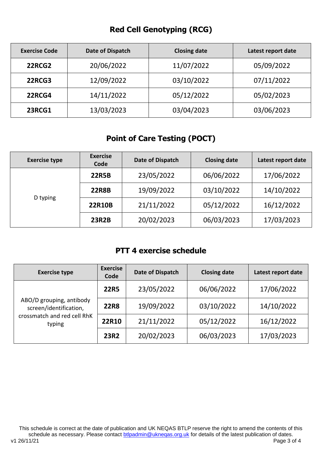# **Red Cell Genotyping (RCG)**

| <b>Exercise Code</b> | Date of Dispatch | <b>Closing date</b> | Latest report date |
|----------------------|------------------|---------------------|--------------------|
| 22RCG2               | 20/06/2022       | 11/07/2022          | 05/09/2022         |
| <b>22RCG3</b>        | 12/09/2022       | 03/10/2022          | 07/11/2022         |
| <b>22RCG4</b>        | 14/11/2022       | 05/12/2022          | 05/02/2023         |
| <b>23RCG1</b>        | 13/03/2023       | 03/04/2023          | 03/06/2023         |

#### **Point of Care Testing (POCT)**

| <b>Exercise type</b> | <b>Exercise</b><br>Code | Date of Dispatch | <b>Closing date</b> | Latest report date |
|----------------------|-------------------------|------------------|---------------------|--------------------|
|                      | <b>22R5B</b>            | 23/05/2022       | 06/06/2022          | 17/06/2022         |
| D typing             | <b>22R8B</b>            | 19/09/2022       | 03/10/2022          | 14/10/2022         |
|                      | <b>22R10B</b>           | 21/11/2022       | 05/12/2022          | 16/12/2022         |
|                      | <b>23R2B</b>            | 20/02/2023       | 06/03/2023          | 17/03/2023         |

#### **PTT 4 exercise schedule**

| <b>Exercise type</b>                                                                        | <b>Exercise</b><br>Code | Date of Dispatch | <b>Closing date</b> | Latest report date |
|---------------------------------------------------------------------------------------------|-------------------------|------------------|---------------------|--------------------|
| ABO/D grouping, antibody<br>screen/identification,<br>crossmatch and red cell RhK<br>typing | <b>22R5</b>             | 23/05/2022       | 06/06/2022          | 17/06/2022         |
|                                                                                             | <b>22R8</b>             | 19/09/2022       | 03/10/2022          | 14/10/2022         |
|                                                                                             | 22R10                   | 21/11/2022       | 05/12/2022          | 16/12/2022         |
|                                                                                             | <b>23R2</b>             | 20/02/2023       | 06/03/2023          | 17/03/2023         |

This schedule is correct at the date of publication and UK NEQAS BTLP reserve the right to amend the contents of this schedule as necessary. Please contact [btlpadmin@ukneqas.org.uk](mailto:btlpadmin@ukneqas.org.uk) for details of the latest publication of dates.<br>Page 3 of 4 v1 26/11/21 Page 3 of 4